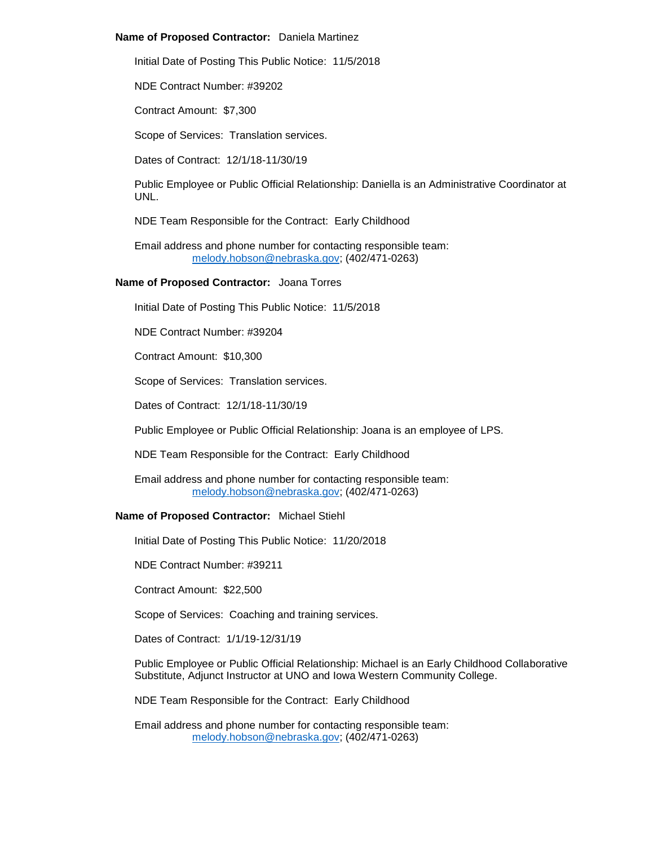# **Name of Proposed Contractor:** Daniela Martinez

Initial Date of Posting This Public Notice: 11/5/2018

NDE Contract Number: #39202

Contract Amount: \$7,300

Scope of Services: Translation services.

Dates of Contract: 12/1/18-11/30/19

Public Employee or Public Official Relationship: Daniella is an Administrative Coordinator at UNL.

NDE Team Responsible for the Contract: Early Childhood

Email address and phone number for contacting responsible team: [melody.hobson@nebraska.gov;](mailto:melody.hobson@nebraska.gov) (402/471-0263)

# **Name of Proposed Contractor:** Joana Torres

Initial Date of Posting This Public Notice: 11/5/2018

NDE Contract Number: #39204

Contract Amount: \$10,300

Scope of Services: Translation services.

Dates of Contract: 12/1/18-11/30/19

Public Employee or Public Official Relationship: Joana is an employee of LPS.

NDE Team Responsible for the Contract: Early Childhood

Email address and phone number for contacting responsible team: [melody.hobson@nebraska.gov;](mailto:melody.hobson@nebraska.gov) (402/471-0263)

## **Name of Proposed Contractor:** Michael Stiehl

Initial Date of Posting This Public Notice: 11/20/2018

NDE Contract Number: #39211

Contract Amount: \$22,500

Scope of Services: Coaching and training services.

Dates of Contract: 1/1/19-12/31/19

Public Employee or Public Official Relationship: Michael is an Early Childhood Collaborative Substitute, Adjunct Instructor at UNO and Iowa Western Community College.

NDE Team Responsible for the Contract: Early Childhood

Email address and phone number for contacting responsible team: [melody.hobson@nebraska.gov;](mailto:melody.hobson@nebraska.gov) (402/471-0263)